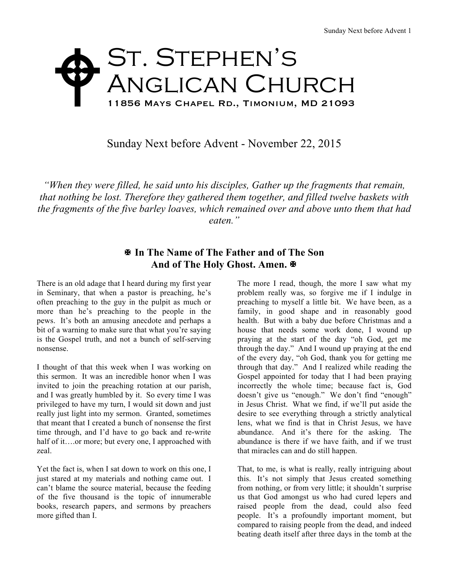## ST. STEPHEN'S Anglican Church 11856 Mays Chapel Rd., Timonium, MD 21093 W

Sunday Next before Advent - November 22, 2015

*"When they were filled, he said unto his disciples, Gather up the fragments that remain, that nothing be lost. Therefore they gathered them together, and filled twelve baskets with the fragments of the five barley loaves, which remained over and above unto them that had eaten."*

## X **In The Name of The Father and of The Son** And of The Holy Ghost. Amen. **E**

There is an old adage that I heard during my first year in Seminary, that when a pastor is preaching, he's often preaching to the guy in the pulpit as much or more than he's preaching to the people in the pews. It's both an amusing anecdote and perhaps a bit of a warning to make sure that what you're saying is the Gospel truth, and not a bunch of self-serving nonsense.

I thought of that this week when I was working on this sermon. It was an incredible honor when I was invited to join the preaching rotation at our parish, and I was greatly humbled by it. So every time I was privileged to have my turn, I would sit down and just really just light into my sermon. Granted, sometimes that meant that I created a bunch of nonsense the first time through, and I'd have to go back and re-write half of it….or more; but every one, I approached with zeal.

Yet the fact is, when I sat down to work on this one, I just stared at my materials and nothing came out. I can't blame the source material, because the feeding of the five thousand is the topic of innumerable books, research papers, and sermons by preachers more gifted than I.

The more I read, though, the more I saw what my problem really was, so forgive me if I indulge in preaching to myself a little bit. We have been, as a family, in good shape and in reasonably good health. But with a baby due before Christmas and a house that needs some work done, I wound up praying at the start of the day "oh God, get me through the day." And I wound up praying at the end of the every day, "oh God, thank you for getting me through that day." And I realized while reading the Gospel appointed for today that I had been praying incorrectly the whole time; because fact is, God doesn't give us "enough." We don't find "enough" in Jesus Christ. What we find, if we'll put aside the desire to see everything through a strictly analytical lens, what we find is that in Christ Jesus, we have abundance. And it's there for the asking. The abundance is there if we have faith, and if we trust that miracles can and do still happen.

That, to me, is what is really, really intriguing about this. It's not simply that Jesus created something from nothing, or from very little; it shouldn't surprise us that God amongst us who had cured lepers and raised people from the dead, could also feed people. It's a profoundly important moment, but compared to raising people from the dead, and indeed beating death itself after three days in the tomb at the